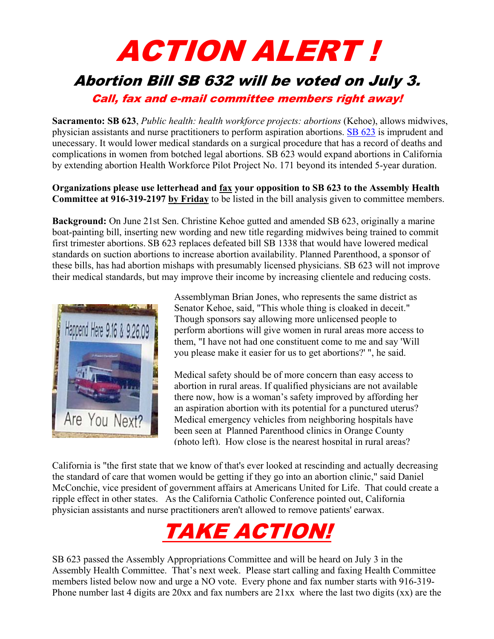## ACTION ALERT !

## Abortion Bill SB 632 will be voted on July 3.

Call, fax and e-mail committee members right away!

**Sacramento: SB 623**, *Public health: health workforce projects: abortions* (Kehoe), allows midwives, physician assistants and nurse practitioners to perform aspiration abortions. [SB 623](http://www.leginfo.ca.gov/pub/11-12/bill/sen/sb_0601-0650/sb_623_bill_20120621_amended_asm_v96.html) is imprudent and unecessary. It would lower medical standards on a surgical procedure that has a record of deaths and complications in women from botched legal abortions. SB 623 would expand abortions in California by extending abortion Health Workforce Pilot Project No. 171 beyond its intended 5-year duration.

**Organizations please use letterhead and fax your opposition to SB 623 to the Assembly Health Committee at 916-319-2197 by Friday** to be listed in the bill analysis given to committee members.

**Background:** On June 21st Sen. Christine Kehoe gutted and amended SB 623, originally a marine boat-painting bill, inserting new wording and new title regarding midwives being trained to commit first trimester abortions. SB 623 replaces defeated bill SB 1338 that would have lowered medical standards on suction abortions to increase abortion availability. Planned Parenthood, a sponsor of these bills, has had abortion mishaps with presumably licensed physicians. SB 623 will not improve their medical standards, but may improve their income by increasing clientele and reducing costs.



Assemblyman Brian Jones, who represents the same district as Senator Kehoe, said, "This whole thing is cloaked in deceit." Though sponsors say allowing more unlicensed people to perform abortions will give women in rural areas more access to them, "I have not had one constituent come to me and say 'Will you please make it easier for us to get abortions?' ", he said.

Medical safety should be of more concern than easy access to abortion in rural areas. If qualified physicians are not available there now, how is a woman's safety improved by affording her an aspiration abortion with its potential for a punctured uterus? Medical emergency vehicles from neighboring hospitals have been seen at Planned Parenthood clinics in Orange County (photo left). How close is the nearest hospital in rural areas?

California is "the first state that we know of that's ever looked at rescinding and actually decreasing the standard of care that women would be getting if they go into an abortion clinic," said Daniel McConchie, vice president of government affairs at Americans United for Life. That could create a ripple effect in other states. As the California Catholic Conference pointed out, California physician assistants and nurse practitioners aren't allowed to remove patients' earwax.



SB 623 passed the Assembly Appropriations Committee and will be heard on July 3 in the Assembly Health Committee. That's next week. Please start calling and faxing Health Committee members listed below now and urge a NO vote. Every phone and fax number starts with 916-319- Phone number last 4 digits are 20xx and fax numbers are 21xx where the last two digits (xx) are the